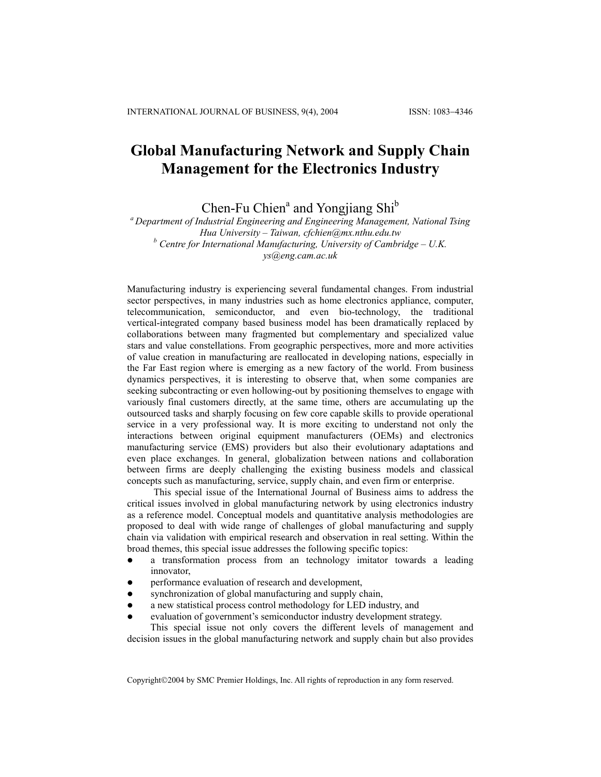## **Global Manufacturing Network and Supply Chain Management for the Electronics Industry**

Chen-Fu Chien<sup>a</sup> and Yongjiang Shi<sup>b</sup>

*a Department of Industrial Engineering and Engineering Management, National Tsing Hua University – Taiwan, cfchien@mx.nthu.edu.tw b Centre for International Manufacturing, University of Cambridge – U.K. ys@eng.cam.ac.uk* 

Manufacturing industry is experiencing several fundamental changes. From industrial sector perspectives, in many industries such as home electronics appliance, computer, telecommunication, semiconductor, and even bio-technology, the traditional vertical-integrated company based business model has been dramatically replaced by collaborations between many fragmented but complementary and specialized value stars and value constellations. From geographic perspectives, more and more activities of value creation in manufacturing are reallocated in developing nations, especially in the Far East region where is emerging as a new factory of the world. From business dynamics perspectives, it is interesting to observe that, when some companies are seeking subcontracting or even hollowing-out by positioning themselves to engage with variously final customers directly, at the same time, others are accumulating up the outsourced tasks and sharply focusing on few core capable skills to provide operational service in a very professional way. It is more exciting to understand not only the interactions between original equipment manufacturers (OEMs) and electronics manufacturing service (EMS) providers but also their evolutionary adaptations and even place exchanges. In general, globalization between nations and collaboration between firms are deeply challenging the existing business models and classical concepts such as manufacturing, service, supply chain, and even firm or enterprise.

This special issue of the International Journal of Business aims to address the critical issues involved in global manufacturing network by using electronics industry as a reference model. Conceptual models and quantitative analysis methodologies are proposed to deal with wide range of challenges of global manufacturing and supply chain via validation with empirical research and observation in real setting. Within the broad themes, this special issue addresses the following specific topics:

- a transformation process from an technology imitator towards a leading innovator,
- performance evaluation of research and development,
- synchronization of global manufacturing and supply chain,
- a new statistical process control methodology for LED industry, and
- evaluation of government's semiconductor industry development strategy.

This special issue not only covers the different levels of management and decision issues in the global manufacturing network and supply chain but also provides

Copyright©2004 by SMC Premier Holdings, Inc. All rights of reproduction in any form reserved.